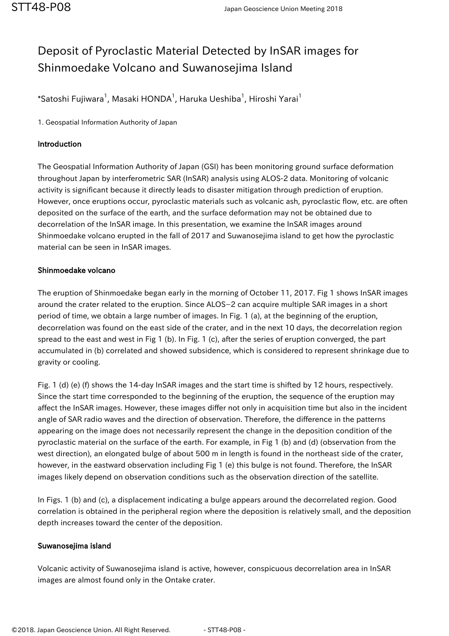## Deposit of Pyroclastic Material Detected by InSAR images for Shinmoedake Volcano and Suwanosejima Island

 $^*$ Satoshi Fujiwara $^1$ , Masaki HONDA $^1$ , Haruka Ueshiba $^1$ , Hiroshi Yarai $^1$ 

1. Geospatial Information Authority of Japan

## Introduction

The Geospatial Information Authority of Japan (GSI) has been monitoring ground surface deformation throughout Japan by interferometric SAR (InSAR) analysis using ALOS-2 data. Monitoring of volcanic activity is significant because it directly leads to disaster mitigation through prediction of eruption. However, once eruptions occur, pyroclastic materials such as volcanic ash, pyroclastic flow, etc. are often deposited on the surface of the earth, and the surface deformation may not be obtained due to decorrelation of the InSAR image. In this presentation, we examine the InSAR images around Shinmoedake volcano erupted in the fall of 2017 and Suwanosejima island to get how the pyroclastic material can be seen in InSAR images.

## Shinmoedake volcano

The eruption of Shinmoedake began early in the morning of October 11, 2017. Fig 1 shows InSAR images around the crater related to the eruption. Since ALOS−2 can acquire multiple SAR images in a short period of time, we obtain a large number of images. In Fig. 1 (a), at the beginning of the eruption, decorrelation was found on the east side of the crater, and in the next 10 days, the decorrelation region spread to the east and west in Fig 1 (b). In Fig. 1 (c), after the series of eruption converged, the part accumulated in (b) correlated and showed subsidence, which is considered to represent shrinkage due to gravity or cooling.

Fig. 1 (d) (e) (f) shows the 14-day InSAR images and the start time is shifted by 12 hours, respectively. Since the start time corresponded to the beginning of the eruption, the sequence of the eruption may affect the InSAR images. However, these images differ not only in acquisition time but also in the incident angle of SAR radio waves and the direction of observation. Therefore, the difference in the patterns appearing on the image does not necessarily represent the change in the deposition condition of the pyroclastic material on the surface of the earth. For example, in Fig 1 (b) and (d) (observation from the west direction), an elongated bulge of about 500 m in length is found in the northeast side of the crater, however, in the eastward observation including Fig 1 (e) this bulge is not found. Therefore, the InSAR images likely depend on observation conditions such as the observation direction of the satellite.

In Figs. 1 (b) and (c), a displacement indicating a bulge appears around the decorrelated region. Good correlation is obtained in the peripheral region where the deposition is relatively small, and the deposition depth increases toward the center of the deposition.

## Suwanosejima island

Volcanic activity of Suwanosejima island is active, however, conspicuous decorrelation area in InSAR images are almost found only in the Ontake crater.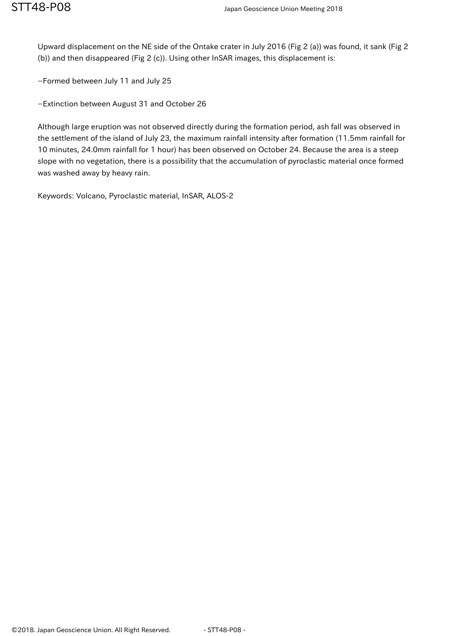Upward displacement on the NE side of the Ontake crater in July 2016 (Fig 2 (a)) was found, it sank (Fig 2 (b)) and then disappeared (Fig 2 (c)). Using other InSAR images, this displacement is:

−Formed between July 11 and July 25

−Extinction between August 31 and October 26

Although large eruption was not observed directly during the formation period, ash fall was observed in the settlement of the island of July 23, the maximum rainfall intensity after formation (11.5mm rainfall for 10 minutes, 24.0mm rainfall for 1 hour) has been observed on October 24. Because the area is a steep slope with no vegetation, there is a possibility that the accumulation of pyroclastic material once formed was washed away by heavy rain.

Keywords: Volcano, Pyroclastic material, InSAR, ALOS-2